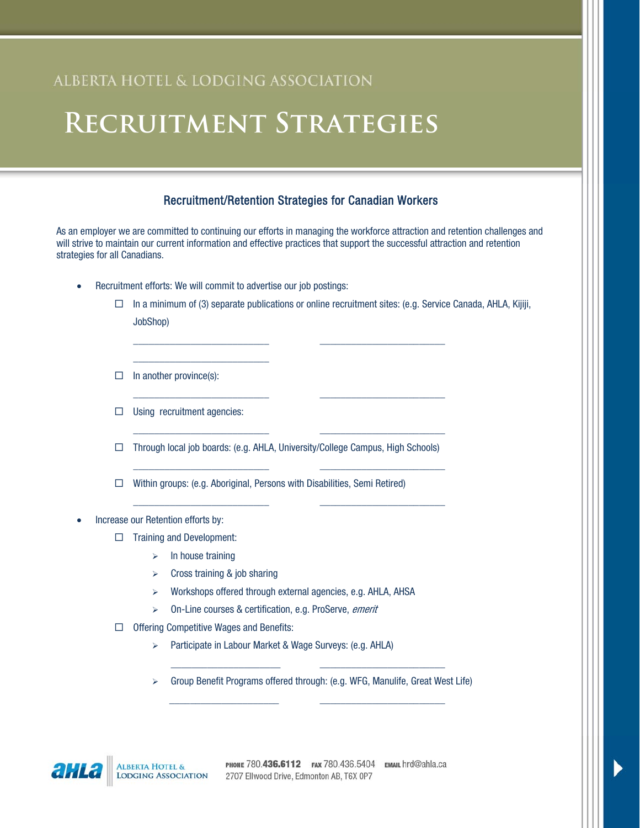# ALBERTA HOTEL & LODGING ASSOCIATION

### Recruitment/Retention Strategies for Canadian Workers

As an employer we are committed to continuing our efforts in managing the workforce attraction and retention challenges and will strive to maintain our current information and effective practices that support the successful attraction and retention strategies for all Canadians.

\_\_\_\_\_\_\_\_\_\_\_\_\_\_\_\_\_\_\_\_\_\_\_\_\_\_ \_\_\_\_\_\_\_\_\_\_\_\_\_\_\_\_\_\_\_\_\_\_\_\_

\_\_\_\_\_\_\_\_\_\_\_\_\_\_\_\_\_\_\_\_\_\_\_\_\_\_ \_\_\_\_\_\_\_\_\_\_\_\_\_\_\_\_\_\_\_\_\_\_\_\_

\_\_\_\_\_\_\_\_\_\_\_\_\_\_\_\_\_\_\_\_\_\_\_\_\_\_ \_\_\_\_\_\_\_\_\_\_\_\_\_\_\_\_\_\_\_\_\_\_\_\_

\_\_\_\_\_\_\_\_\_\_\_\_\_\_\_\_\_\_\_\_\_\_\_\_\_\_ \_\_\_\_\_\_\_\_\_\_\_\_\_\_\_\_\_\_\_\_\_\_\_\_

\_\_\_\_\_\_\_\_\_\_\_\_\_\_\_\_\_\_\_\_\_\_\_\_\_\_ \_\_\_\_\_\_\_\_\_\_\_\_\_\_\_\_\_\_\_\_\_\_\_\_

-Recruitment efforts: We will commit to advertise our job postings:

\_\_\_\_\_\_\_\_\_\_\_\_\_\_\_\_\_\_\_\_\_\_\_\_\_\_

- □ In a minimum of (3) separate publications or online recruitment sites: (e.g. Service Canada, AHLA, Kijiji, JobShop)
- $\Box$  In another province(s):
- □ Using recruitment agencies:
- □ Through local job boards: (e.g. AHLA, University/College Campus, High Schools)
- □ Within groups: (e.g. Aboriginal, Persons with Disabilities, Semi Retired)
- - Increase our Retention efforts by:
	- □ Training and Development:
		- $\triangleright$  In house training
		- $\triangleright$  Cross training & job sharing
		- Workshops offered through external agencies, e.g. AHLA, AHSA
		- > On-Line courses & certification, e.g. ProServe, emerit
	- □ Offering Competitive Wages and Benefits:
		- > Participate in Labour Market & Wage Surveys: (e.g. AHLA)
		- \_\_\_\_\_\_\_\_\_\_\_\_\_\_\_\_\_\_\_\_\_ \_\_\_\_\_\_\_\_\_\_\_\_\_\_\_\_\_\_\_\_\_\_\_\_ Group Benefit Programs offered through: (e.g. WFG, Manulife, Great West Life) \_\_\_\_\_\_\_\_\_\_\_\_\_\_\_\_\_\_\_\_\_ \_\_\_\_\_\_\_\_\_\_\_\_\_\_\_\_\_\_\_\_\_\_\_\_

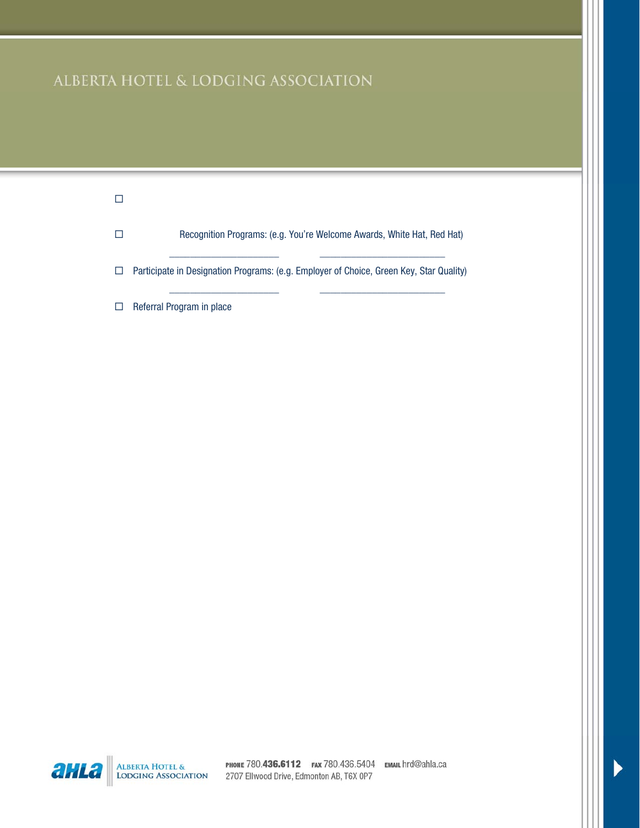# ALBERTA HOTEL & LODGING ASSOCIATION

| Recognition Programs: (e.g. You're Welcome Awards, White Hat, Red Hat)                  |
|-----------------------------------------------------------------------------------------|
| Participate in Designation Programs: (e.g. Employer of Choice, Green Key, Star Quality) |
| Referral Program in place                                                               |



ALBERTA HOTEL & PHONE 780.436.6112 FAX 780.436.5404 EMAIL hrd@ahla.ca<br>LODGING ASSOCIATION 2707 Ellwood Drive, Edmonton AB, T6X 0P7